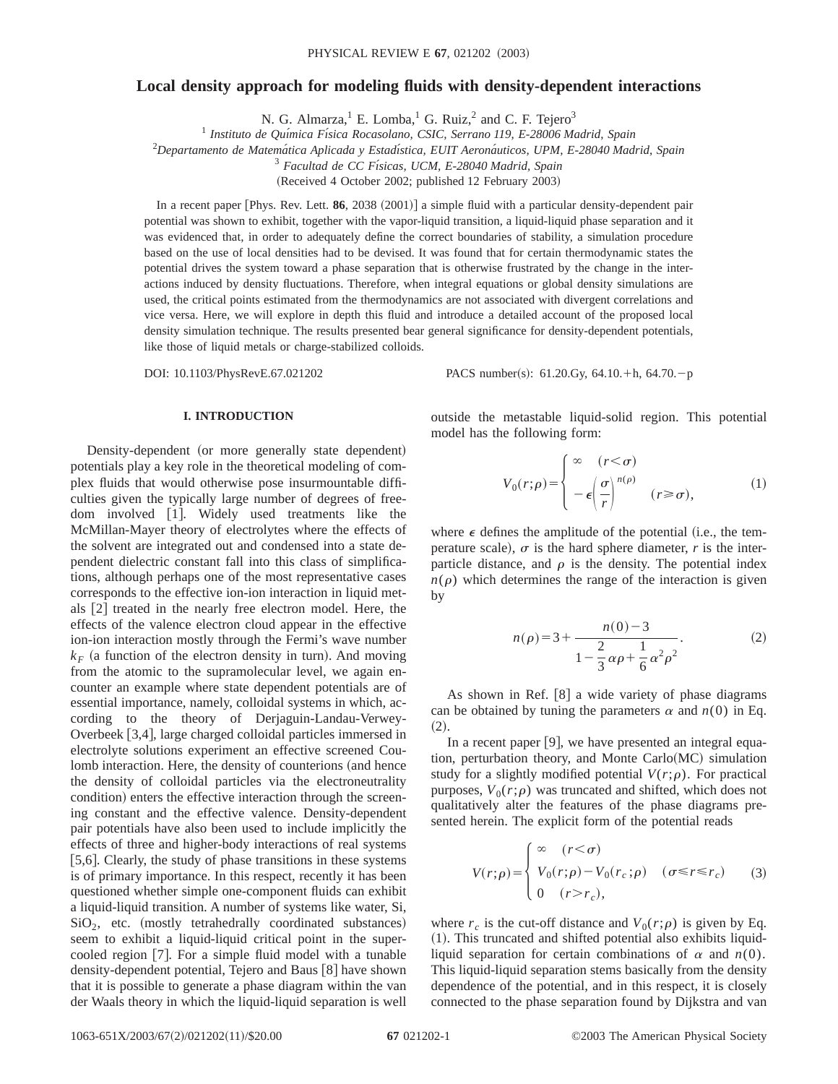# **Local density approach for modeling fluids with density-dependent interactions**

N. G. Almarza, $^1$  E. Lomba, $^1$  G. Ruiz, $^2$  and C. F. Tejero<sup>3</sup>

<sup>1</sup> *Instituto de Quı´mica Fı´sica Rocasolano, CSIC, Serrano 119, E-28006 Madrid, Spain*

<sup>2</sup>Departamento de Matemática Aplicada y Estadística, EUIT Aeronáuticos, UPM, E-28040 Madrid, Spain

<sup>3</sup> *Facultad de CC Fı´sicas, UCM, E-28040 Madrid, Spain*

(Received 4 October 2002; published 12 February 2003)

In a recent paper [Phys. Rev. Lett. 86, 2038 (2001)] a simple fluid with a particular density-dependent pair potential was shown to exhibit, together with the vapor-liquid transition, a liquid-liquid phase separation and it was evidenced that, in order to adequately define the correct boundaries of stability, a simulation procedure based on the use of local densities had to be devised. It was found that for certain thermodynamic states the potential drives the system toward a phase separation that is otherwise frustrated by the change in the interactions induced by density fluctuations. Therefore, when integral equations or global density simulations are used, the critical points estimated from the thermodynamics are not associated with divergent correlations and vice versa. Here, we will explore in depth this fluid and introduce a detailed account of the proposed local density simulation technique. The results presented bear general significance for density-dependent potentials, like those of liquid metals or charge-stabilized colloids.

DOI: 10.1103/PhysRevE.67.021202 PACS number(s): 61.20.Gy, 64.10.+h, 64.70.-p

# **I. INTRODUCTION**

Density-dependent (or more generally state dependent) potentials play a key role in the theoretical modeling of complex fluids that would otherwise pose insurmountable difficulties given the typically large number of degrees of freedom involved [1]. Widely used treatments like the McMillan-Mayer theory of electrolytes where the effects of the solvent are integrated out and condensed into a state dependent dielectric constant fall into this class of simplifications, although perhaps one of the most representative cases corresponds to the effective ion-ion interaction in liquid metals [2] treated in the nearly free electron model. Here, the effects of the valence electron cloud appear in the effective ion-ion interaction mostly through the Fermi's wave number  $k_F$  (a function of the electron density in turn). And moving from the atomic to the supramolecular level, we again encounter an example where state dependent potentials are of essential importance, namely, colloidal systems in which, according to the theory of Derjaguin-Landau-Verwey-Overbeek [3,4], large charged colloidal particles immersed in electrolyte solutions experiment an effective screened Coulomb interaction. Here, the density of counterions (and hence the density of colloidal particles via the electroneutrality condition) enters the effective interaction through the screening constant and the effective valence. Density-dependent pair potentials have also been used to include implicitly the effects of three and higher-body interactions of real systems [5,6]. Clearly, the study of phase transitions in these systems is of primary importance. In this respect, recently it has been questioned whether simple one-component fluids can exhibit a liquid-liquid transition. A number of systems like water, Si,  $SiO<sub>2</sub>$ , etc. (mostly tetrahedrally coordinated substances) seem to exhibit a liquid-liquid critical point in the supercooled region  $[7]$ . For a simple fluid model with a tunable density-dependent potential, Tejero and Baus [8] have shown that it is possible to generate a phase diagram within the van der Waals theory in which the liquid-liquid separation is well

outside the metastable liquid-solid region. This potential model has the following form:

$$
V_0(r;\rho) = \begin{cases} \infty & (r < \sigma) \\ -\epsilon \left(\frac{\sigma}{r}\right)^{n(\rho)} & (r \ge \sigma), \end{cases}
$$
 (1)

where  $\epsilon$  defines the amplitude of the potential (i.e., the temperature scale),  $\sigma$  is the hard sphere diameter,  $r$  is the interparticle distance, and  $\rho$  is the density. The potential index  $n(\rho)$  which determines the range of the interaction is given by

$$
n(\rho) = 3 + \frac{n(0) - 3}{1 - \frac{2}{3}\alpha\rho + \frac{1}{6}\alpha^2\rho^2}.
$$
 (2)

As shown in Ref.  $[8]$  a wide variety of phase diagrams can be obtained by tuning the parameters  $\alpha$  and  $n(0)$  in Eq.  $(2).$ 

In a recent paper  $[9]$ , we have presented an integral equation, perturbation theory, and Monte Carlo $(MC)$  simulation study for a slightly modified potential  $V(r;\rho)$ . For practical purposes,  $V_0(r;\rho)$  was truncated and shifted, which does not qualitatively alter the features of the phase diagrams presented herein. The explicit form of the potential reads

$$
V(r; \rho) = \begin{cases} \infty & (r < \sigma) \\ V_0(r; \rho) - V_0(r_c; \rho) & (\sigma \le r \le r_c) \\ 0 & (r > r_c), \end{cases}
$$
 (3)

where  $r_c$  is the cut-off distance and  $V_0(r;\rho)$  is given by Eq.  $(1)$ . This truncated and shifted potential also exhibits liquidliquid separation for certain combinations of  $\alpha$  and  $n(0)$ . This liquid-liquid separation stems basically from the density dependence of the potential, and in this respect, it is closely connected to the phase separation found by Dijkstra and van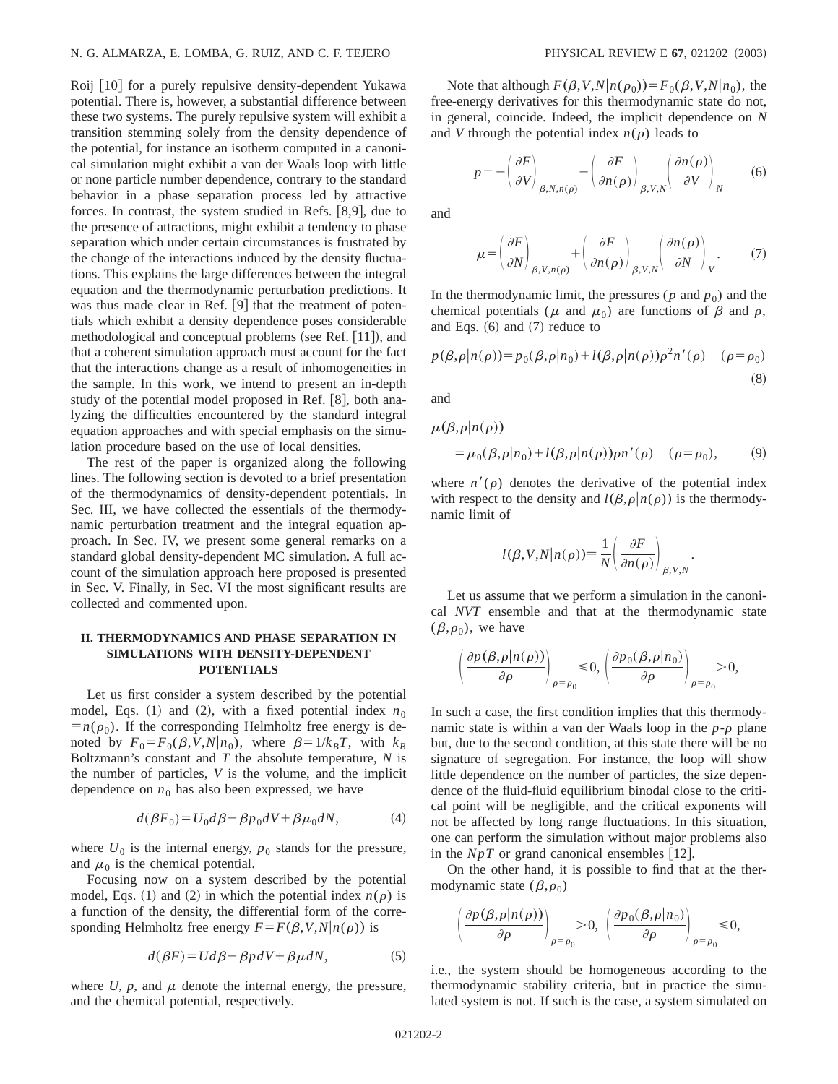Roij [10] for a purely repulsive density-dependent Yukawa potential. There is, however, a substantial difference between these two systems. The purely repulsive system will exhibit a transition stemming solely from the density dependence of the potential, for instance an isotherm computed in a canonical simulation might exhibit a van der Waals loop with little or none particle number dependence, contrary to the standard behavior in a phase separation process led by attractive forces. In contrast, the system studied in Refs.  $[8,9]$ , due to the presence of attractions, might exhibit a tendency to phase separation which under certain circumstances is frustrated by the change of the interactions induced by the density fluctuations. This explains the large differences between the integral equation and the thermodynamic perturbation predictions. It was thus made clear in Ref.  $[9]$  that the treatment of potentials which exhibit a density dependence poses considerable methodological and conceptual problems (see Ref. [11]), and that a coherent simulation approach must account for the fact that the interactions change as a result of inhomogeneities in the sample. In this work, we intend to present an in-depth study of the potential model proposed in Ref.  $[8]$ , both analyzing the difficulties encountered by the standard integral equation approaches and with special emphasis on the simulation procedure based on the use of local densities.

The rest of the paper is organized along the following lines. The following section is devoted to a brief presentation of the thermodynamics of density-dependent potentials. In Sec. III, we have collected the essentials of the thermodynamic perturbation treatment and the integral equation approach. In Sec. IV, we present some general remarks on a standard global density-dependent MC simulation. A full account of the simulation approach here proposed is presented in Sec. V. Finally, in Sec. VI the most significant results are collected and commented upon.

### **II. THERMODYNAMICS AND PHASE SEPARATION IN SIMULATIONS WITH DENSITY-DEPENDENT POTENTIALS**

Let us first consider a system described by the potential model, Eqs.  $(1)$  and  $(2)$ , with a fixed potential index  $n_0$  $\equiv n(\rho_0)$ . If the corresponding Helmholtz free energy is denoted by  $F_0 = F_0(\beta, V, N | n_0)$ , where  $\beta = 1/k_B T$ , with  $k_B$ Boltzmann's constant and *T* the absolute temperature, *N* is the number of particles, *V* is the volume, and the implicit dependence on  $n_0$  has also been expressed, we have

$$
d(\beta F_0) = U_0 d\beta - \beta p_0 dV + \beta \mu_0 dN, \qquad (4)
$$

where  $U_0$  is the internal energy,  $p_0$  stands for the pressure, and  $\mu_0$  is the chemical potential.

Focusing now on a system described by the potential model, Eqs. (1) and (2) in which the potential index  $n(\rho)$  is a function of the density, the differential form of the corresponding Helmholtz free energy  $F = F(\beta, V, N|n(\rho))$  is

$$
d(\beta F) = Ud\beta - \beta p dV + \beta \mu dN, \tag{5}
$$

where  $U$ ,  $p$ , and  $\mu$  denote the internal energy, the pressure, and the chemical potential, respectively.

Note that although  $F(\beta, V, N|n(\rho_0)) = F_0(\beta, V, N|n_0)$ , the free-energy derivatives for this thermodynamic state do not, in general, coincide. Indeed, the implicit dependence on *N* and *V* through the potential index  $n(\rho)$  leads to

$$
p = -\left(\frac{\partial F}{\partial V}\right)_{\beta, N, n(\rho)} - \left(\frac{\partial F}{\partial n(\rho)}\right)_{\beta, V, N} \left(\frac{\partial n(\rho)}{\partial V}\right)_N \tag{6}
$$

and

$$
\mu = \left(\frac{\partial F}{\partial N}\right)_{\beta, V, n(\rho)} + \left(\frac{\partial F}{\partial n(\rho)}\right)_{\beta, V, N} \left(\frac{\partial n(\rho)}{\partial N}\right)_{V}.
$$
 (7)

In the thermodynamic limit, the pressures ( $p$  and  $p_0$ ) and the chemical potentials ( $\mu$  and  $\mu_0$ ) are functions of  $\beta$  and  $\rho$ , and Eqs.  $(6)$  and  $(7)$  reduce to

$$
p(\beta, \rho | n(\rho)) = p_0(\beta, \rho | n_0) + l(\beta, \rho | n(\rho))\rho^2 n'(\rho) \quad (\rho = \rho_0)
$$
\n(8)

and

$$
\mu(\beta, \rho | n(\rho))
$$
  
=  $\mu_0(\beta, \rho | n_0) + l(\beta, \rho | n(\rho)) \rho n'(\rho) \quad (\rho = \rho_0),$  (9)

where  $n'(\rho)$  denotes the derivative of the potential index with respect to the density and  $l(\beta,\rho|n(\rho))$  is the thermodynamic limit of

$$
l(\beta, V, N | n(\rho)) \equiv \frac{1}{N} \left( \frac{\partial F}{\partial n(\rho)} \right)_{\beta, V, N}
$$

.

Let us assume that we perform a simulation in the canonical *NVT* ensemble and that at the thermodynamic state  $(\beta,\rho_0)$ , we have

$$
\left(\frac{\partial p(\beta,\rho|n(\rho))}{\partial \rho}\right)_{\rho=\rho_0} \leq 0, \left(\frac{\partial p_0(\beta,\rho|n_0)}{\partial \rho}\right)_{\rho=\rho_0} > 0,
$$

In such a case, the first condition implies that this thermodynamic state is within a van der Waals loop in the  $p-\rho$  plane but, due to the second condition, at this state there will be no signature of segregation. For instance, the loop will show little dependence on the number of particles, the size dependence of the fluid-fluid equilibrium binodal close to the critical point will be negligible, and the critical exponents will not be affected by long range fluctuations. In this situation, one can perform the simulation without major problems also in the  $NpT$  or grand canonical ensembles [12].

On the other hand, it is possible to find that at the thermodynamic state  $(\beta,\rho_0)$ 

$$
\left(\frac{\partial p(\beta,\rho|n(\rho))}{\partial \rho}\right)_{\rho=\rho_0}>0, \ \left(\frac{\partial p_0(\beta,\rho|n_0)}{\partial \rho}\right)_{\rho=\rho_0}\leq 0,
$$

i.e., the system should be homogeneous according to the thermodynamic stability criteria, but in practice the simulated system is not. If such is the case, a system simulated on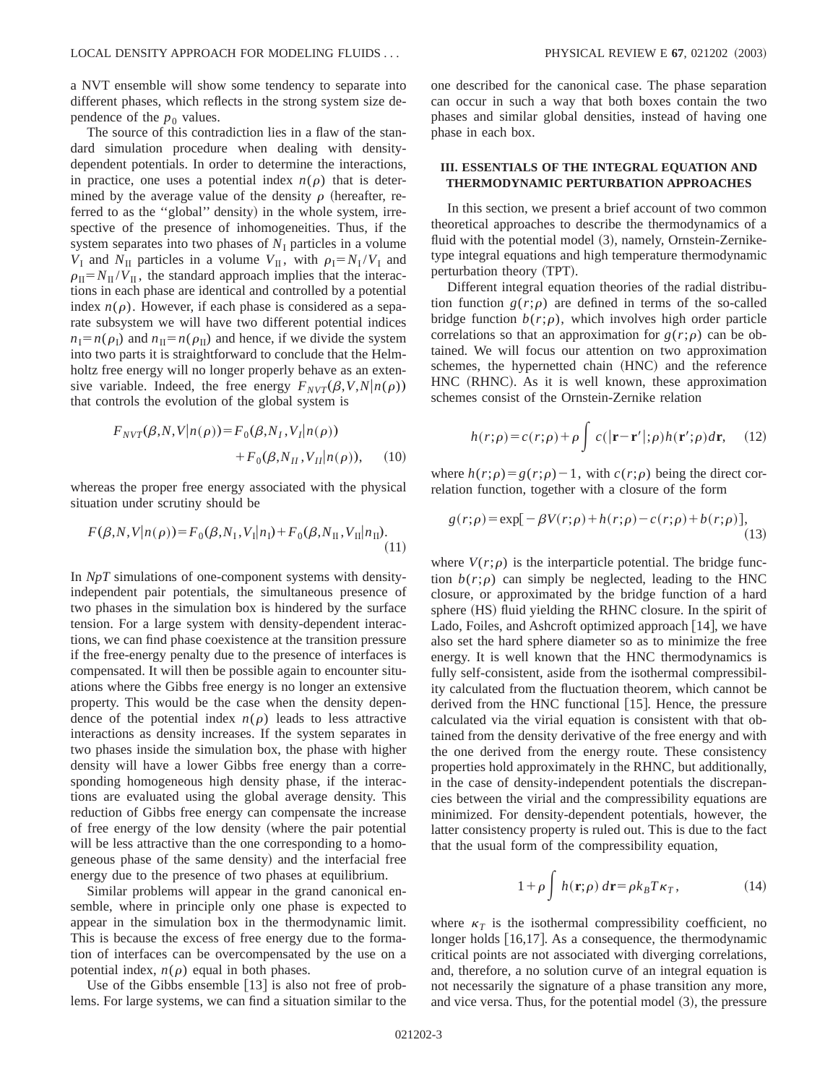a NVT ensemble will show some tendency to separate into different phases, which reflects in the strong system size dependence of the  $p_0$  values.

The source of this contradiction lies in a flaw of the standard simulation procedure when dealing with densitydependent potentials. In order to determine the interactions, in practice, one uses a potential index  $n(\rho)$  that is determined by the average value of the density  $\rho$  (hereafter, referred to as the "global" density) in the whole system, irrespective of the presence of inhomogeneities. Thus, if the system separates into two phases of  $N<sub>I</sub>$  particles in a volume  $V_I$  and  $N_{II}$  particles in a volume  $V_{II}$ , with  $\rho_I = N_I / V_I$  and  $\rho_{\text{II}} = N_{\text{II}}/V_{\text{II}}$ , the standard approach implies that the interactions in each phase are identical and controlled by a potential index  $n(\rho)$ . However, if each phase is considered as a separate subsystem we will have two different potential indices  $n_I = n(\rho_I)$  and  $n_{II} = n(\rho_{II})$  and hence, if we divide the system into two parts it is straightforward to conclude that the Helmholtz free energy will no longer properly behave as an extensive variable. Indeed, the free energy  $F_{NVT}(\beta, V, N|n(\rho))$ that controls the evolution of the global system is

$$
F_{NVT}(\beta, N, V|n(\rho)) = F_0(\beta, N_I, V_I|n(\rho))
$$
  
+ 
$$
F_0(\beta, N_{II}, V_{II}|n(\rho)), \quad (10)
$$

whereas the proper free energy associated with the physical situation under scrutiny should be

$$
F(\beta, N, V | n(\rho)) = F_0(\beta, N_\text{I}, V_\text{I} | n_\text{I}) + F_0(\beta, N_\text{II}, V_\text{II} | n_\text{II}).
$$
\n(11)

In *NpT* simulations of one-component systems with densityindependent pair potentials, the simultaneous presence of two phases in the simulation box is hindered by the surface tension. For a large system with density-dependent interactions, we can find phase coexistence at the transition pressure if the free-energy penalty due to the presence of interfaces is compensated. It will then be possible again to encounter situations where the Gibbs free energy is no longer an extensive property. This would be the case when the density dependence of the potential index  $n(\rho)$  leads to less attractive interactions as density increases. If the system separates in two phases inside the simulation box, the phase with higher density will have a lower Gibbs free energy than a corresponding homogeneous high density phase, if the interactions are evaluated using the global average density. This reduction of Gibbs free energy can compensate the increase of free energy of the low density (where the pair potential will be less attractive than the one corresponding to a homogeneous phase of the same density) and the interfacial free energy due to the presence of two phases at equilibrium.

Similar problems will appear in the grand canonical ensemble, where in principle only one phase is expected to appear in the simulation box in the thermodynamic limit. This is because the excess of free energy due to the formation of interfaces can be overcompensated by the use on a potential index,  $n(\rho)$  equal in both phases.

Use of the Gibbs ensemble  $[13]$  is also not free of problems. For large systems, we can find a situation similar to the one described for the canonical case. The phase separation can occur in such a way that both boxes contain the two phases and similar global densities, instead of having one phase in each box.

# **III. ESSENTIALS OF THE INTEGRAL EQUATION AND THERMODYNAMIC PERTURBATION APPROACHES**

In this section, we present a brief account of two common theoretical approaches to describe the thermodynamics of a fluid with the potential model  $(3)$ , namely, Ornstein-Zerniketype integral equations and high temperature thermodynamic perturbation theory (TPT).

Different integral equation theories of the radial distribution function  $g(r;\rho)$  are defined in terms of the so-called bridge function  $b(r;\rho)$ , which involves high order particle correlations so that an approximation for  $g(r;\rho)$  can be obtained. We will focus our attention on two approximation schemes, the hypernetted chain (HNC) and the reference HNC (RHNC). As it is well known, these approximation schemes consist of the Ornstein-Zernike relation

$$
h(r;\rho) = c(r;\rho) + \rho \int c(|\mathbf{r} - \mathbf{r}'|; \rho) h(\mathbf{r}';\rho) d\mathbf{r}, \quad (12)
$$

where  $h(r;\rho)=g(r;\rho)-1$ , with  $c(r;\rho)$  being the direct correlation function, together with a closure of the form

$$
g(r;\rho) = \exp[-\beta V(r;\rho) + h(r;\rho) - c(r;\rho) + b(r;\rho)],
$$
\n(13)

where  $V(r;\rho)$  is the interparticle potential. The bridge function  $b(r;\rho)$  can simply be neglected, leading to the HNC closure, or approximated by the bridge function of a hard sphere (HS) fluid yielding the RHNC closure. In the spirit of Lado, Foiles, and Ashcroft optimized approach  $[14]$ , we have also set the hard sphere diameter so as to minimize the free energy. It is well known that the HNC thermodynamics is fully self-consistent, aside from the isothermal compressibility calculated from the fluctuation theorem, which cannot be derived from the HNC functional  $[15]$ . Hence, the pressure calculated via the virial equation is consistent with that obtained from the density derivative of the free energy and with the one derived from the energy route. These consistency properties hold approximately in the RHNC, but additionally, in the case of density-independent potentials the discrepancies between the virial and the compressibility equations are minimized. For density-dependent potentials, however, the latter consistency property is ruled out. This is due to the fact that the usual form of the compressibility equation,

$$
1 + \rho \int h(\mathbf{r}; \rho) d\mathbf{r} = \rho k_B T \kappa_T, \qquad (14)
$$

where  $\kappa_T$  is the isothermal compressibility coefficient, no longer holds  $[16,17]$ . As a consequence, the thermodynamic critical points are not associated with diverging correlations, and, therefore, a no solution curve of an integral equation is not necessarily the signature of a phase transition any more, and vice versa. Thus, for the potential model  $(3)$ , the pressure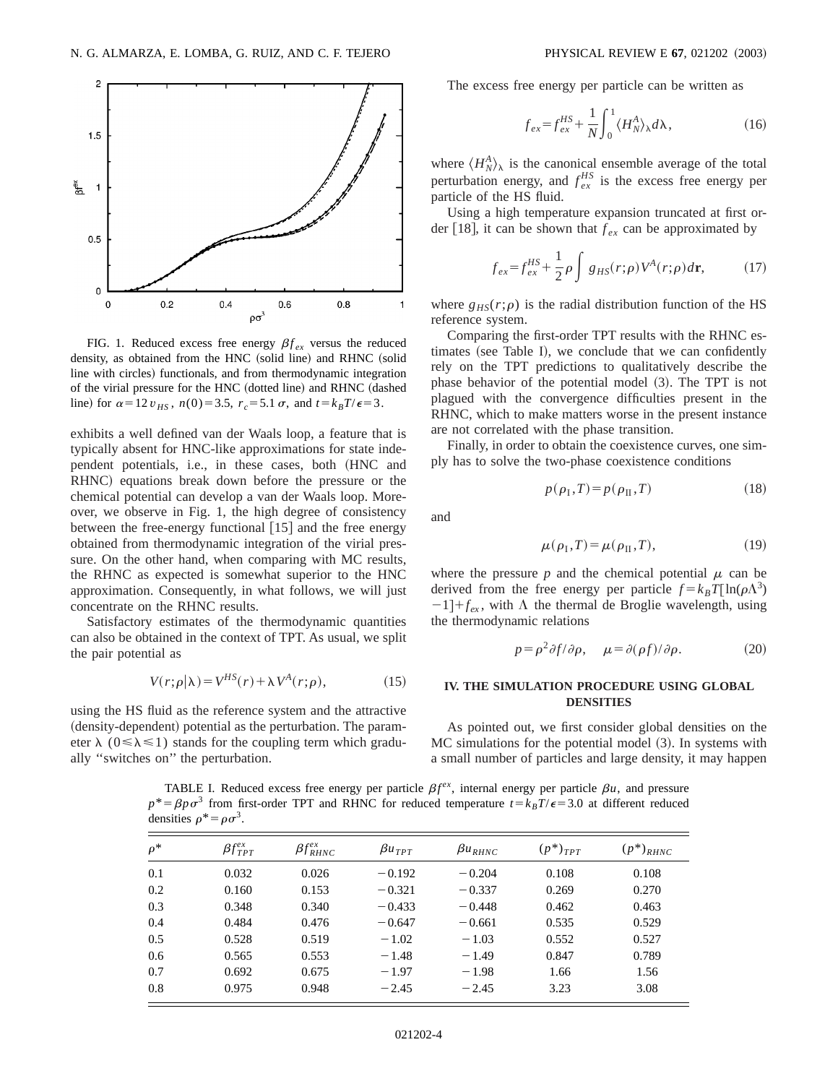

FIG. 1. Reduced excess free energy  $\beta f_{ex}$  versus the reduced density, as obtained from the HNC (solid line) and RHNC (solid line with circles) functionals, and from thermodynamic integration of the virial pressure for the HNC (dotted line) and RHNC (dashed line) for  $\alpha = 12 v_{HS}$ ,  $n(0) = 3.5$ ,  $r_c = 5.1 \sigma$ , and  $t = k_B T / \epsilon = 3$ .

exhibits a well defined van der Waals loop, a feature that is typically absent for HNC-like approximations for state independent potentials, i.e., in these cases, both (HNC and RHNC) equations break down before the pressure or the chemical potential can develop a van der Waals loop. Moreover, we observe in Fig. 1, the high degree of consistency between the free-energy functional  $[15]$  and the free energy obtained from thermodynamic integration of the virial pressure. On the other hand, when comparing with MC results, the RHNC as expected is somewhat superior to the HNC approximation. Consequently, in what follows, we will just concentrate on the RHNC results.

Satisfactory estimates of the thermodynamic quantities can also be obtained in the context of TPT. As usual, we split the pair potential as

$$
V(r; \rho | \lambda) = V^{HS}(r) + \lambda V^{A}(r; \rho), \qquad (15)
$$

using the HS fluid as the reference system and the attractive (density-dependent) potential as the perturbation. The parameter  $\lambda$  ( $0 \le \lambda \le 1$ ) stands for the coupling term which gradually ''switches on'' the perturbation.

The excess free energy per particle can be written as

$$
f_{ex} = f_{ex}^{HS} + \frac{1}{N} \int_0^1 \langle H_N^A \rangle_\lambda d\lambda, \qquad (16)
$$

where  $\langle H_N^A \rangle_\lambda$  is the canonical ensemble average of the total perturbation energy, and  $f_{ex}^{HS}$  is the excess free energy per particle of the HS fluid.

Using a high temperature expansion truncated at first order [18], it can be shown that  $f_{ex}$  can be approximated by

$$
f_{ex} = f_{ex}^{HS} + \frac{1}{2}\rho \int g_{HS}(r;\rho) V^A(r;\rho) d\mathbf{r},
$$
 (17)

where  $g_{HS}(r;\rho)$  is the radial distribution function of the HS reference system.

Comparing the first-order TPT results with the RHNC estimates (see Table I), we conclude that we can confidently rely on the TPT predictions to qualitatively describe the phase behavior of the potential model (3). The TPT is not plagued with the convergence difficulties present in the RHNC, which to make matters worse in the present instance are not correlated with the phase transition.

Finally, in order to obtain the coexistence curves, one simply has to solve the two-phase coexistence conditions

$$
p(\rho_{\rm I}, T) = p(\rho_{\rm II}, T) \tag{18}
$$

and

$$
\mu(\rho_{\rm I}, T) = \mu(\rho_{\rm II}, T),\tag{19}
$$

where the pressure  $p$  and the chemical potential  $\mu$  can be derived from the free energy per particle  $f = k_B T [\ln(\rho \Lambda^3)]$  $-1$ ]+ $f_{\text{ex}}$ , with  $\Lambda$  the thermal de Broglie wavelength, using the thermodynamic relations

$$
p = \rho^2 \partial f / \partial \rho, \quad \mu = \partial(\rho f) / \partial \rho. \tag{20}
$$

## **IV. THE SIMULATION PROCEDURE USING GLOBAL DENSITIES**

As pointed out, we first consider global densities on the  $MC$  simulations for the potential model  $(3)$ . In systems with a small number of particles and large density, it may happen

TABLE I. Reduced excess free energy per particle  $\beta f^{ex}$ , internal energy per particle  $\beta u$ , and pressure  $p^* = \beta p \sigma^3$  from first-order TPT and RHNC for reduced temperature  $t = k_B T/\epsilon = 3.0$  at different reduced densities  $\rho^* = \rho \sigma^3$ .

| $\rho^*$ | $\beta f_{TPT}^{ex}$ | $\beta f_{RHNC}^{ex}$ | $\beta u_{TPT}$ | $\beta u_{RHNC}$ | $(p^*)_{TPT}$ | $(p^*)_{RHNC}$ |
|----------|----------------------|-----------------------|-----------------|------------------|---------------|----------------|
| 0.1      | 0.032                | 0.026                 | $-0.192$        | $-0.204$         | 0.108         | 0.108          |
| 0.2      | 0.160                | 0.153                 | $-0.321$        | $-0.337$         | 0.269         | 0.270          |
| 0.3      | 0.348                | 0.340                 | $-0.433$        | $-0.448$         | 0.462         | 0.463          |
| 0.4      | 0.484                | 0.476                 | $-0.647$        | $-0.661$         | 0.535         | 0.529          |
| 0.5      | 0.528                | 0.519                 | $-1.02$         | $-1.03$          | 0.552         | 0.527          |
| 0.6      | 0.565                | 0.553                 | $-1.48$         | $-1.49$          | 0.847         | 0.789          |
| 0.7      | 0.692                | 0.675                 | $-1.97$         | $-1.98$          | 1.66          | 1.56           |
| 0.8      | 0.975                | 0.948                 | $-2.45$         | $-2.45$          | 3.23          | 3.08           |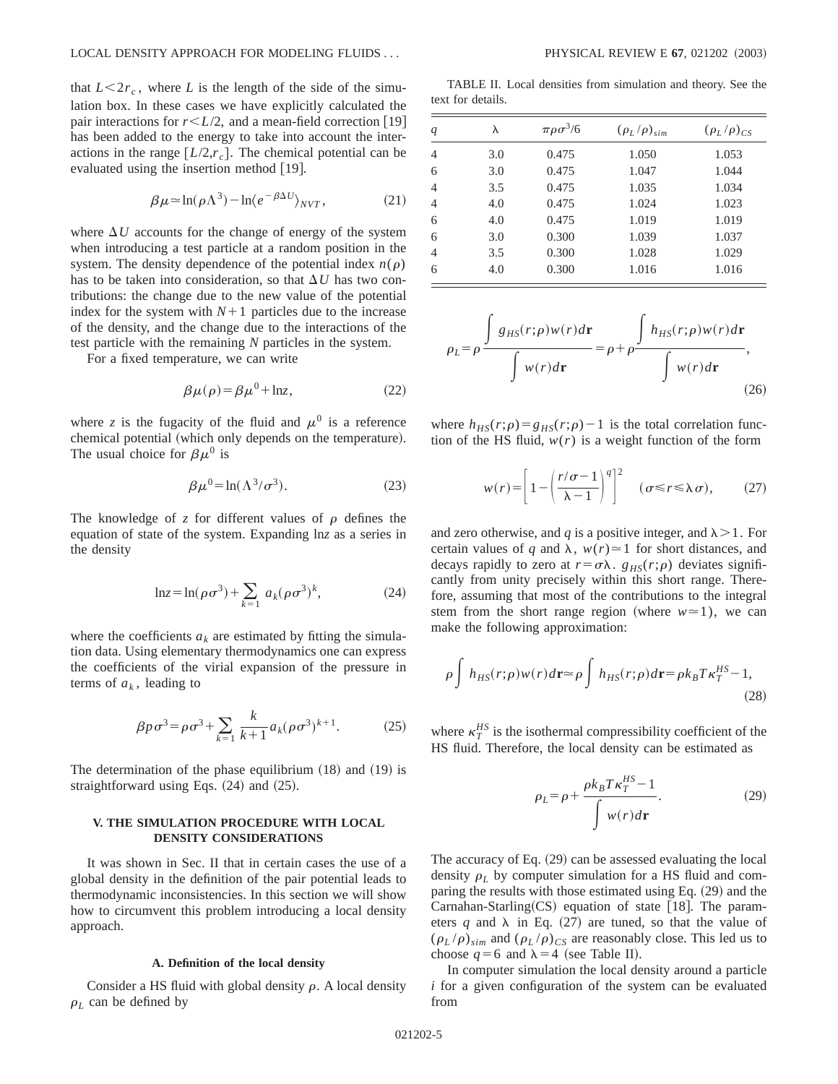that  $L < 2r_c$ , where *L* is the length of the side of the simulation box. In these cases we have explicitly calculated the pair interactions for  $r \leq L/2$ , and a mean-field correction [19] has been added to the energy to take into account the interactions in the range  $[L/2, r_c]$ . The chemical potential can be evaluated using the insertion method  $(19)$ .

$$
\beta \mu \approx \ln(\rho \Lambda^3) - \ln \langle e^{-\beta \Delta U} \rangle_{NVT},\tag{21}
$$

where  $\Delta U$  accounts for the change of energy of the system when introducing a test particle at a random position in the system. The density dependence of the potential index  $n(\rho)$ has to be taken into consideration, so that  $\Delta U$  has two contributions: the change due to the new value of the potential index for the system with  $N+1$  particles due to the increase of the density, and the change due to the interactions of the test particle with the remaining *N* particles in the system.

For a fixed temperature, we can write

$$
\beta \mu(\rho) = \beta \mu^0 + \ln z,\tag{22}
$$

where *z* is the fugacity of the fluid and  $\mu^0$  is a reference chemical potential (which only depends on the temperature). The usual choice for  $\beta\mu^0$  is

$$
\beta \mu^0 = \ln(\Lambda^3 / \sigma^3). \tag{23}
$$

The knowledge of  $z$  for different values of  $\rho$  defines the equation of state of the system. Expanding ln*z* as a series in the density

$$
\ln z = \ln(\rho \sigma^3) + \sum_{k=1} a_k (\rho \sigma^3)^k, \tag{24}
$$

where the coefficients  $a_k$  are estimated by fitting the simulation data. Using elementary thermodynamics one can express the coefficients of the virial expansion of the pressure in terms of  $a_k$ , leading to

$$
\beta p \sigma^3 = \rho \sigma^3 + \sum_{k=1}^k \frac{k}{k+1} a_k (\rho \sigma^3)^{k+1}.
$$
 (25)

The determination of the phase equilibrium  $(18)$  and  $(19)$  is straightforward using Eqs.  $(24)$  and  $(25)$ .

# **V. THE SIMULATION PROCEDURE WITH LOCAL DENSITY CONSIDERATIONS**

It was shown in Sec. II that in certain cases the use of a global density in the definition of the pair potential leads to thermodynamic inconsistencies. In this section we will show how to circumvent this problem introducing a local density approach.

### **A. Definition of the local density**

Consider a HS fluid with global density  $\rho$ . A local density  $\rho_L$  can be defined by

TABLE II. Local densities from simulation and theory. See the text for details.

| q | λ   | $\pi \rho \sigma^3/6$ | $(\rho_L/\rho)_{sim}$ | $(\rho_L/\rho)_{CS}$ |
|---|-----|-----------------------|-----------------------|----------------------|
| 4 | 3.0 | 0.475                 | 1.050                 | 1.053                |
| 6 | 3.0 | 0.475                 | 1.047                 | 1.044                |
| 4 | 3.5 | 0.475                 | 1.035                 | 1.034                |
| 4 | 4.0 | 0.475                 | 1.024                 | 1.023                |
| 6 | 4.0 | 0.475                 | 1.019                 | 1.019                |
| 6 | 3.0 | 0.300                 | 1.039                 | 1.037                |
| 4 | 3.5 | 0.300                 | 1.028                 | 1.029                |
| 6 | 4.0 | 0.300                 | 1.016                 | 1.016                |
|   |     |                       |                       |                      |

$$
\rho_L = \rho \frac{\int g_{HS}(r;\rho)w(r)d\mathbf{r}}{\int w(r)d\mathbf{r}} = \rho + \rho \frac{\int h_{HS}(r;\rho)w(r)d\mathbf{r}}{\int w(r)d\mathbf{r}},
$$
\n(26)

where  $h_{HS}(r;\rho) = g_{HS}(r;\rho) - 1$  is the total correlation function of the HS fluid,  $w(r)$  is a weight function of the form

$$
w(r) = \left[1 - \left(\frac{r/\sigma - 1}{\lambda - 1}\right)^q\right]^2 \quad (\sigma \le r \le \lambda \sigma), \tag{27}
$$

and zero otherwise, and *q* is a positive integer, and  $\lambda > 1$ . For certain values of *q* and  $\lambda$ ,  $w(r) \approx 1$  for short distances, and decays rapidly to zero at  $r = \sigma \lambda$ .  $g_{HS}(r;\rho)$  deviates significantly from unity precisely within this short range. Therefore, assuming that most of the contributions to the integral stem from the short range region (where  $w \approx 1$ ), we can make the following approximation:

$$
\rho \int h_{HS}(r;\rho) w(r) d\mathbf{r} \approx \rho \int h_{HS}(r;\rho) d\mathbf{r} = \rho k_B T \kappa_T^{HS} - 1,
$$
\n(28)

where  $\kappa_T^{HS}$  is the isothermal compressibility coefficient of the HS fluid. Therefore, the local density can be estimated as

$$
\rho_L = \rho + \frac{\rho k_B T \kappa_T^{HS} - 1}{\int w(r) d\mathbf{r}}.\tag{29}
$$

The accuracy of Eq.  $(29)$  can be assessed evaluating the local density  $\rho_L$  by computer simulation for a HS fluid and comparing the results with those estimated using Eq.  $(29)$  and the Carnahan-Starling $(CS)$  equation of state [18]. The parameters *q* and  $\lambda$  in Eq. (27) are tuned, so that the value of  $(\rho_L / \rho)_{sim}$  and  $(\rho_L / \rho)_{CS}$  are reasonably close. This led us to choose  $q=6$  and  $\lambda=4$  (see Table II).

In computer simulation the local density around a particle *i* for a given configuration of the system can be evaluated from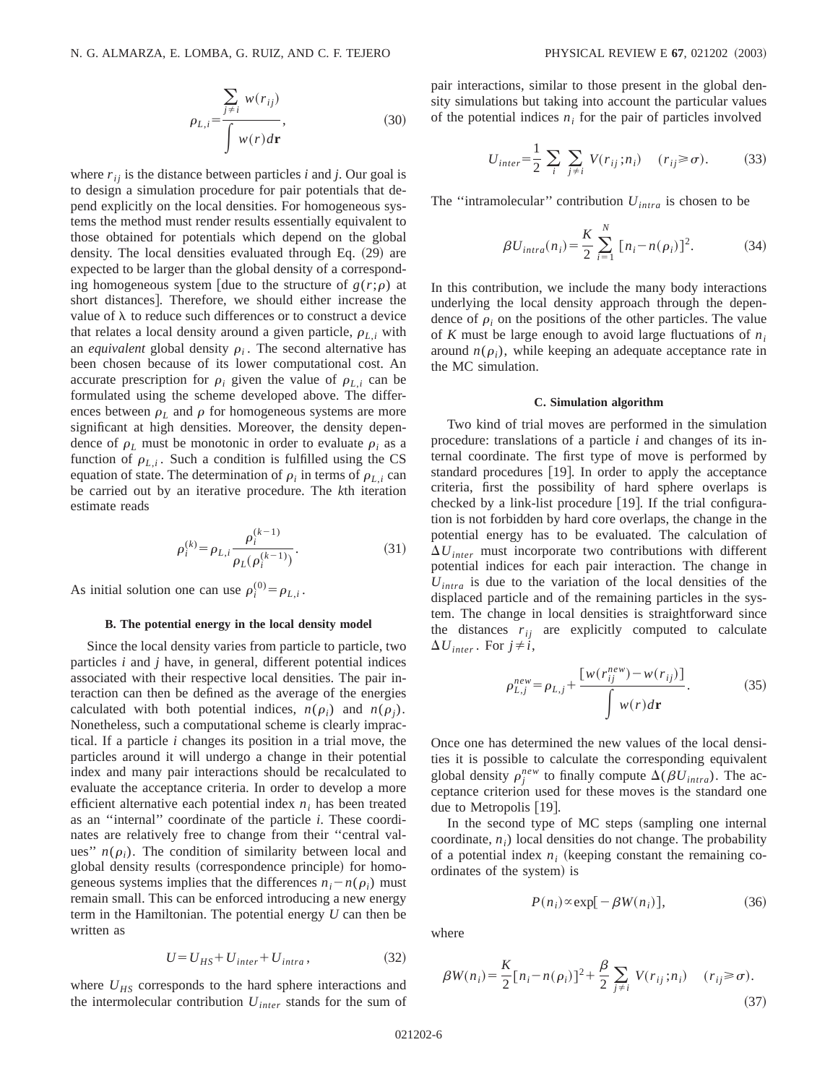$$
\rho_{L,i} = \frac{\sum_{j \neq i} w(r_{ij})}{\int w(r) d\mathbf{r}},
$$
\n(30)

where  $r_{ij}$  is the distance between particles *i* and *j*. Our goal is to design a simulation procedure for pair potentials that depend explicitly on the local densities. For homogeneous systems the method must render results essentially equivalent to those obtained for potentials which depend on the global density. The local densities evaluated through Eq.  $(29)$  are expected to be larger than the global density of a corresponding homogeneous system [due to the structure of  $g(r;\rho)$  at short distances]. Therefore, we should either increase the value of  $\lambda$  to reduce such differences or to construct a device that relates a local density around a given particle,  $\rho_{L,i}$  with an *equivalent* global density  $\rho_i$ . The second alternative has been chosen because of its lower computational cost. An accurate prescription for  $\rho_i$  given the value of  $\rho_{L,i}$  can be formulated using the scheme developed above. The differences between  $\rho_L$  and  $\rho$  for homogeneous systems are more significant at high densities. Moreover, the density dependence of  $\rho_L$  must be monotonic in order to evaluate  $\rho_i$  as a function of  $\rho_{Li}$ . Such a condition is fulfilled using the CS equation of state. The determination of  $\rho_i$  in terms of  $\rho_{i,i}$  can be carried out by an iterative procedure. The *k*th iteration estimate reads

$$
\rho_i^{(k)} = \rho_{L,i} \frac{\rho_i^{(k-1)}}{\rho_L(\rho_i^{(k-1)})}.
$$
\n(31)

As initial solution one can use  $\rho_i^{(0)} = \rho_{L,i}$ .

### **B. The potential energy in the local density model**

Since the local density varies from particle to particle, two particles *i* and *j* have, in general, different potential indices associated with their respective local densities. The pair interaction can then be defined as the average of the energies calculated with both potential indices,  $n(\rho_i)$  and  $n(\rho_i)$ . Nonetheless, such a computational scheme is clearly impractical. If a particle *i* changes its position in a trial move, the particles around it will undergo a change in their potential index and many pair interactions should be recalculated to evaluate the acceptance criteria. In order to develop a more efficient alternative each potential index  $n_i$  has been treated as an ''internal'' coordinate of the particle *i*. These coordinates are relatively free to change from their ''central values"  $n(\rho_i)$ . The condition of similarity between local and global density results (correspondence principle) for homogeneous systems implies that the differences  $n_i - n(\rho_i)$  must remain small. This can be enforced introducing a new energy term in the Hamiltonian. The potential energy *U* can then be written as

$$
U = U_{HS} + U_{inter} + U_{intra}, \qquad (32)
$$

where  $U_{HS}$  corresponds to the hard sphere interactions and the intermolecular contribution *Uinter* stands for the sum of pair interactions, similar to those present in the global density simulations but taking into account the particular values of the potential indices  $n_i$  for the pair of particles involved

$$
U_{inter} = \frac{1}{2} \sum_{i} \sum_{j \neq i} V(r_{ij}; n_i) \quad (r_{ij} \geq \sigma). \tag{33}
$$

The "intramolecular" contribution  $U_{intra}$  is chosen to be

$$
\beta U_{intra}(n_i) = \frac{K}{2} \sum_{i=1}^{N} [n_i - n(\rho_i)]^2.
$$
 (34)

In this contribution, we include the many body interactions underlying the local density approach through the dependence of  $\rho_i$  on the positions of the other particles. The value of *K* must be large enough to avoid large fluctuations of *ni* around  $n(\rho_i)$ , while keeping an adequate acceptance rate in the MC simulation.

### **C. Simulation algorithm**

Two kind of trial moves are performed in the simulation procedure: translations of a particle *i* and changes of its internal coordinate. The first type of move is performed by standard procedures [19]. In order to apply the acceptance criteria, first the possibility of hard sphere overlaps is checked by a link-list procedure  $[19]$ . If the trial configuration is not forbidden by hard core overlaps, the change in the potential energy has to be evaluated. The calculation of  $\Delta U_{inter}$  must incorporate two contributions with different potential indices for each pair interaction. The change in  $U_{intra}$  is due to the variation of the local densities of the displaced particle and of the remaining particles in the system. The change in local densities is straightforward since the distances  $r_{ij}$  are explicitly computed to calculate  $\Delta U_{inter}$ . For  $j \neq i$ ,

$$
\rho_{L,j}^{new} = \rho_{L,j} + \frac{\left[w(r_{ij}^{new}) - w(r_{ij})\right]}{ \int w(r) d\mathbf{r}}.
$$
 (35)

Once one has determined the new values of the local densities it is possible to calculate the corresponding equivalent global density  $\rho_j^{new}$  to finally compute  $\Delta(\beta U_{intra})$ . The acceptance criterion used for these moves is the standard one due to Metropolis  $[19]$ .

In the second type of MC steps (sampling one internal coordinate,  $n_i$ ) local densities do not change. The probability of a potential index  $n_i$  (keeping constant the remaining coordinates of the system) is

$$
P(n_i) \propto \exp[-\beta W(n_i)], \tag{36}
$$

where

$$
\beta W(n_i) = \frac{K}{2} [n_i - n(\rho_i)]^2 + \frac{\beta}{2} \sum_{j \neq i} V(r_{ij}; n_i) \quad (r_{ij} \ge \sigma).
$$
\n(37)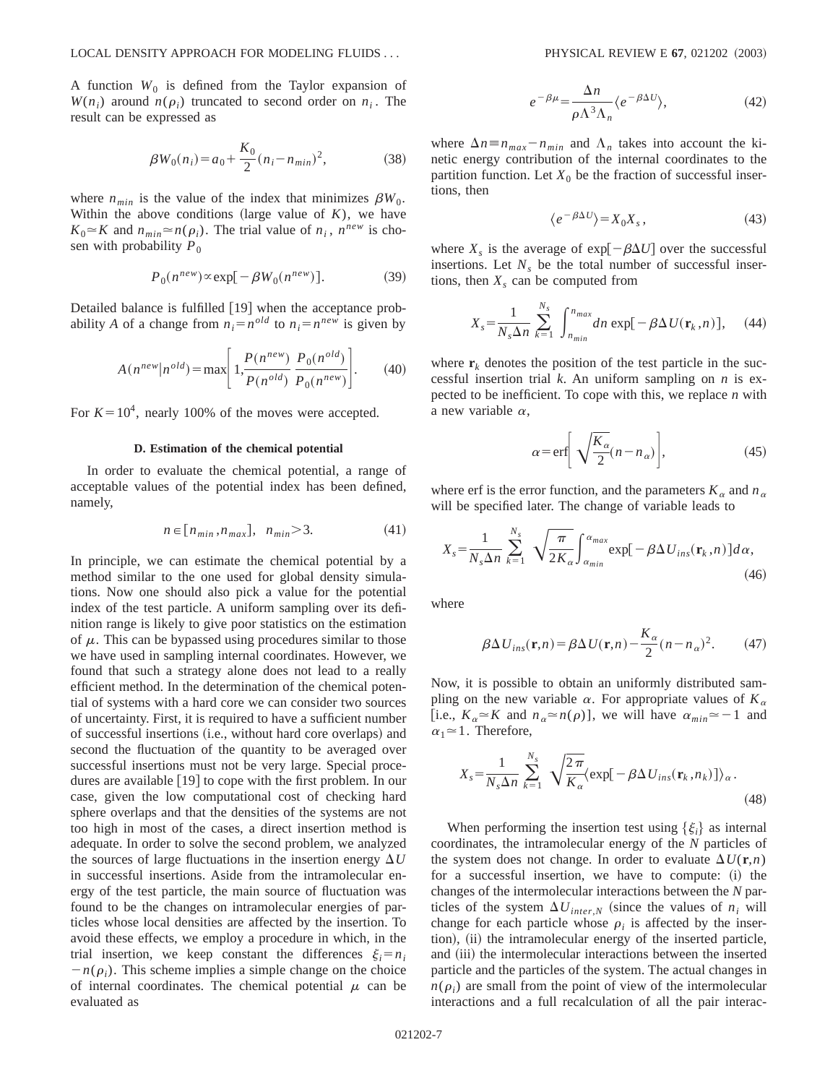A function  $W_0$  is defined from the Taylor expansion of  $W(n_i)$  around  $n(\rho_i)$  truncated to second order on  $n_i$ . The result can be expressed as

$$
\beta W_0(n_i) = a_0 + \frac{K_0}{2} (n_i - n_{min})^2, \tag{38}
$$

where  $n_{min}$  is the value of the index that minimizes  $\beta W_0$ . Within the above conditions (large value of  $K$ ), we have  $K_0 \approx K$  and  $n_{min} \approx n(\rho_i)$ . The trial value of  $n_i$ ,  $n^{new}$  is chosen with probability  $P_0$ 

$$
P_0(n^{new}) \propto \exp[-\beta W_0(n^{new})]. \tag{39}
$$

Detailed balance is fulfilled [19] when the acceptance probability *A* of a change from  $n_i = n^{old}$  to  $n_i = n^{new}$  is given by

$$
A(n^{new} | n^{old}) = \max \left[ 1, \frac{P(n^{new})}{P(n^{old})} \frac{P_0(n^{old})}{P_0(n^{new})} \right].
$$
 (40)

For  $K = 10^4$ , nearly 100% of the moves were accepted.

### **D. Estimation of the chemical potential**

In order to evaluate the chemical potential, a range of acceptable values of the potential index has been defined, namely,

$$
n \in [n_{min}, n_{max}], \quad n_{min} > 3. \tag{41}
$$

In principle, we can estimate the chemical potential by a method similar to the one used for global density simulations. Now one should also pick a value for the potential index of the test particle. A uniform sampling over its definition range is likely to give poor statistics on the estimation of  $\mu$ . This can be bypassed using procedures similar to those we have used in sampling internal coordinates. However, we found that such a strategy alone does not lead to a really efficient method. In the determination of the chemical potential of systems with a hard core we can consider two sources of uncertainty. First, it is required to have a sufficient number of successful insertions (i.e., without hard core overlaps) and second the fluctuation of the quantity to be averaged over successful insertions must not be very large. Special procedures are available [19] to cope with the first problem. In our case, given the low computational cost of checking hard sphere overlaps and that the densities of the systems are not too high in most of the cases, a direct insertion method is adequate. In order to solve the second problem, we analyzed the sources of large fluctuations in the insertion energy  $\Delta U$ in successful insertions. Aside from the intramolecular energy of the test particle, the main source of fluctuation was found to be the changes on intramolecular energies of particles whose local densities are affected by the insertion. To avoid these effects, we employ a procedure in which, in the trial insertion, we keep constant the differences  $\xi_i = n_i$  $-n(\rho_i)$ . This scheme implies a simple change on the choice of internal coordinates. The chemical potential  $\mu$  can be evaluated as

$$
e^{-\beta\mu} = \frac{\Delta n}{\rho \Lambda^3 \Lambda_n} \langle e^{-\beta \Delta U} \rangle, \tag{42}
$$

where  $\Delta n \equiv n_{max} - n_{min}$  and  $\Lambda_n$  takes into account the kinetic energy contribution of the internal coordinates to the partition function. Let  $X_0$  be the fraction of successful insertions, then

$$
\langle e^{-\beta \Delta U} \rangle = X_0 X_s, \qquad (43)
$$

where  $X_s$  is the average of exp $[-\beta \Delta U]$  over the successful insertions. Let  $N<sub>s</sub>$  be the total number of successful insertions, then  $X_s$  can be computed from

$$
X_s = \frac{1}{N_s \Delta n} \sum_{k=1}^{N_s} \int_{n_{min}}^{n_{max}} dn \exp[-\beta \Delta U(\mathbf{r}_k, n)], \quad (44)
$$

where  $\mathbf{r}_k$  denotes the position of the test particle in the successful insertion trial *k*. An uniform sampling on *n* is expected to be inefficient. To cope with this, we replace *n* with a new variable  $\alpha$ ,

$$
\alpha = \text{erf}\left[\sqrt{\frac{K_{\alpha}}{2}}(n - n_{\alpha})\right],\tag{45}
$$

where erf is the error function, and the parameters  $K_a$  and  $n_a$ will be specified later. The change of variable leads to

$$
X_s = \frac{1}{N_s \Delta n} \sum_{k=1}^{N_s} \sqrt{\frac{\pi}{2K_\alpha}} \int_{\alpha_{min}}^{\alpha_{max}} \exp[-\beta \Delta U_{ins}(\mathbf{r}_k, n)] d\alpha,
$$
\n(46)

where

$$
\beta \Delta U_{ins}(\mathbf{r}, n) = \beta \Delta U(\mathbf{r}, n) - \frac{K_{\alpha}}{2} (n - n_{\alpha})^2.
$$
 (47)

Now, it is possible to obtain an uniformly distributed sampling on the new variable  $\alpha$ . For appropriate values of  $K_{\alpha}$ [i.e.,  $K_{\alpha} \approx K$  and  $n_{\alpha} \approx n(\rho)$ ], we will have  $\alpha_{min} \approx -1$  and  $\alpha_1 \approx 1$ . Therefore,

$$
X_s = \frac{1}{N_s \Delta n} \sum_{k=1}^{N_s} \sqrt{\frac{2\pi}{K_\alpha}} \langle \exp[-\beta \Delta U_{ins}(\mathbf{r}_k, n_k)] \rangle_\alpha.
$$
\n(48)

When performing the insertion test using  $\{\xi_i\}$  as internal coordinates, the intramolecular energy of the *N* particles of the system does not change. In order to evaluate  $\Delta U(\mathbf{r}, n)$ for a successful insertion, we have to compute:  $(i)$  the changes of the intermolecular interactions between the *N* particles of the system  $\Delta U_{inter,N}$  (since the values of  $n_i$  will change for each particle whose  $\rho_i$  is affected by the insertion), (ii) the intramolecular energy of the inserted particle, and (iii) the intermolecular interactions between the inserted particle and the particles of the system. The actual changes in  $n(\rho_i)$  are small from the point of view of the intermolecular interactions and a full recalculation of all the pair interac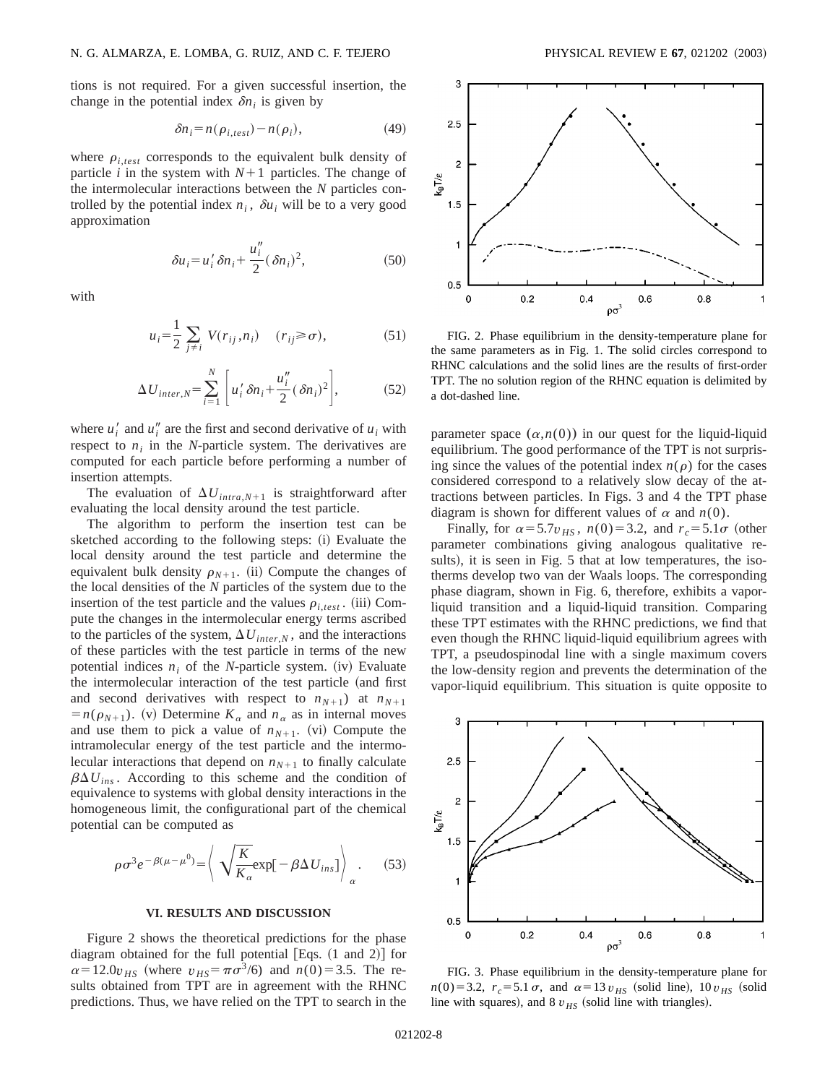tions is not required. For a given successful insertion, the change in the potential index  $\delta n_i$  is given by

$$
\delta n_i = n(\rho_{i, test}) - n(\rho_i),\tag{49}
$$

where  $\rho_{i, test}$  corresponds to the equivalent bulk density of particle *i* in the system with  $N+1$  particles. The change of the intermolecular interactions between the *N* particles controlled by the potential index  $n_i$ ,  $\delta u_i$  will be to a very good approximation

$$
\delta u_i = u'_i \delta n_i + \frac{u''_i}{2} (\delta n_i)^2,
$$
\n(50)

with

$$
u_i = \frac{1}{2} \sum_{j \neq i} V(r_{ij}, n_i) \quad (r_{ij} \ge \sigma), \tag{51}
$$

$$
\Delta U_{inter,N} = \sum_{i=1}^{N} \left[ u_i' \delta n_i + \frac{u_i''}{2} (\delta n_i)^2 \right],
$$
 (52)

where  $u_i'$  and  $u_i''$  are the first and second derivative of  $u_i$  with respect to  $n_i$  in the *N*-particle system. The derivatives are computed for each particle before performing a number of insertion attempts.

The evaluation of  $\Delta U_{intra,N+1}$  is straightforward after evaluating the local density around the test particle.

The algorithm to perform the insertion test can be sketched according to the following steps: (i) Evaluate the local density around the test particle and determine the equivalent bulk density  $\rho_{N+1}$ . (ii) Compute the changes of the local densities of the *N* particles of the system due to the insertion of the test particle and the values  $\rho_{i, test}$ . (iii) Compute the changes in the intermolecular energy terms ascribed to the particles of the system,  $\Delta U_{inter,N}$ , and the interactions of these particles with the test particle in terms of the new potential indices  $n_i$  of the *N*-particle system. (iv) Evaluate the intermolecular interaction of the test particle (and first and second derivatives with respect to  $n_{N+1}$ ) at  $n_{N+1}$  $=n(\rho_{N+1})$ . (v) Determine  $K_{\alpha}$  and  $n_{\alpha}$  as in internal moves and use them to pick a value of  $n_{N+1}$ . (vi) Compute the intramolecular energy of the test particle and the intermolecular interactions that depend on  $n_{N+1}$  to finally calculate  $\beta \Delta U_{ins}$ . According to this scheme and the condition of equivalence to systems with global density interactions in the homogeneous limit, the configurational part of the chemical potential can be computed as

$$
\rho \sigma^3 e^{-\beta(\mu - \mu^0)} = \left\langle \sqrt{\frac{K}{K_{\alpha}}} \exp[-\beta \Delta U_{ins}] \right\rangle_{\alpha}.
$$
 (53)

### **VI. RESULTS AND DISCUSSION**

Figure 2 shows the theoretical predictions for the phase diagram obtained for the full potential  $[Eqs. (1 and 2)]$  for  $\alpha = 12.0 v_{HS}$  (where  $v_{HS} = \pi \sigma^3/6$ ) and  $n(0) = 3.5$ . The results obtained from TPT are in agreement with the RHNC predictions. Thus, we have relied on the TPT to search in the



FIG. 2. Phase equilibrium in the density-temperature plane for the same parameters as in Fig. 1. The solid circles correspond to RHNC calculations and the solid lines are the results of first-order TPT. The no solution region of the RHNC equation is delimited by a dot-dashed line.

parameter space  $(\alpha, n(0))$  in our quest for the liquid-liquid equilibrium. The good performance of the TPT is not surprising since the values of the potential index  $n(\rho)$  for the cases considered correspond to a relatively slow decay of the attractions between particles. In Figs. 3 and 4 the TPT phase diagram is shown for different values of  $\alpha$  and  $n(0)$ .

Finally, for  $\alpha = 5.7v_{HS}$ ,  $n(0) = 3.2$ , and  $r_c = 5.1\sigma$  (other parameter combinations giving analogous qualitative results), it is seen in Fig. 5 that at low temperatures, the isotherms develop two van der Waals loops. The corresponding phase diagram, shown in Fig. 6, therefore, exhibits a vaporliquid transition and a liquid-liquid transition. Comparing these TPT estimates with the RHNC predictions, we find that even though the RHNC liquid-liquid equilibrium agrees with TPT, a pseudospinodal line with a single maximum covers the low-density region and prevents the determination of the vapor-liquid equilibrium. This situation is quite opposite to



FIG. 3. Phase equilibrium in the density-temperature plane for *n*(0)=3.2,  $r_c$ =5.1  $\sigma$ , and  $\alpha$ =13  $v_{HS}$  (solid line), 10  $v_{HS}$  (solid line with squares), and  $8 v_{H<sub>S</sub>}$  (solid line with triangles).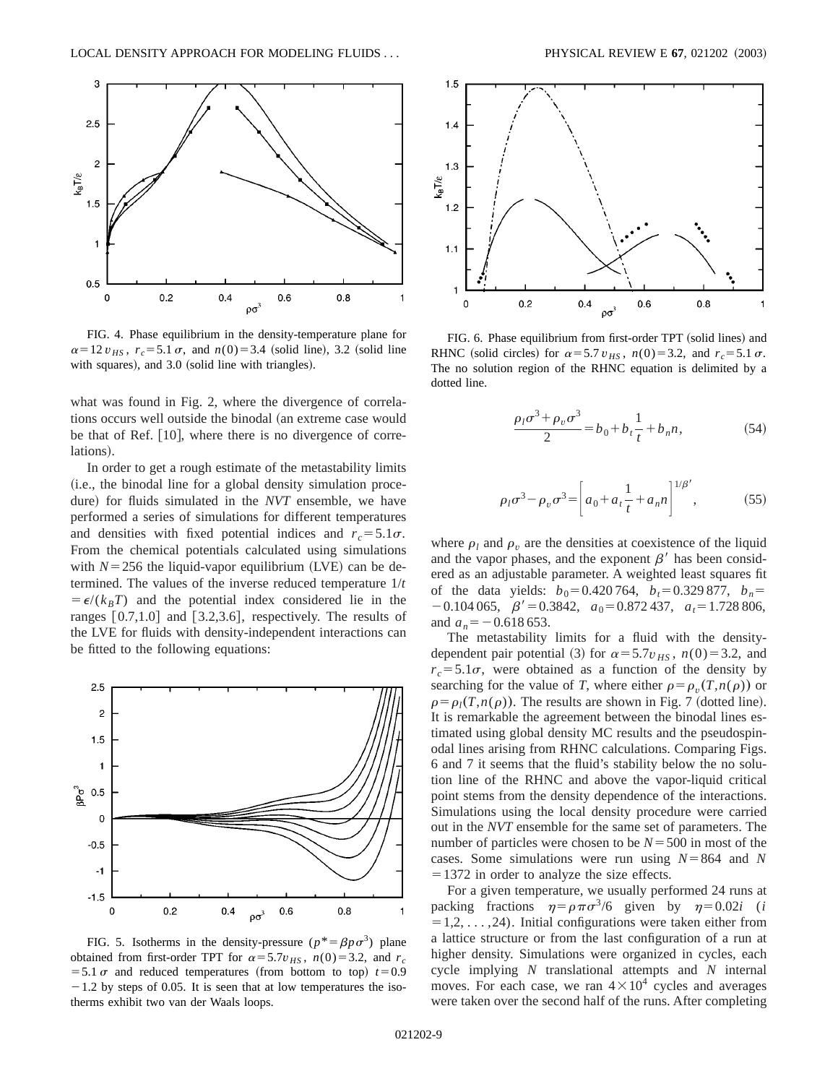

FIG. 4. Phase equilibrium in the density-temperature plane for  $\alpha = 12 v_{HS}$ ,  $r_c = 5.1 \sigma$ , and  $n(0) = 3.4$  (solid line), 3.2 (solid line with squares), and  $3.0$  (solid line with triangles).

what was found in Fig. 2, where the divergence of correlations occurs well outside the binodal (an extreme case would be that of Ref.  $[10]$ , where there is no divergence of correlations).

In order to get a rough estimate of the metastability limits (i.e., the binodal line for a global density simulation procedure) for fluids simulated in the *NVT* ensemble, we have performed a series of simulations for different temperatures and densities with fixed potential indices and  $r_c = 5.1\sigma$ . From the chemical potentials calculated using simulations with  $N=256$  the liquid-vapor equilibrium (LVE) can be determined. The values of the inverse reduced temperature 1/*t*  $= \epsilon/(k_B T)$  and the potential index considered lie in the ranges  $[0.7,1.0]$  and  $[3.2,3.6]$ , respectively. The results of the LVE for fluids with density-independent interactions can be fitted to the following equations:



FIG. 5. Isotherms in the density-pressure  $(p^* = \beta p \sigma^3)$  plane obtained from first-order TPT for  $\alpha = 5.7v_{HS}$ ,  $n(0) = 3.2$ , and  $r_c$  $=$  5.1  $\sigma$  and reduced temperatures (from bottom to top)  $t=0.9$  $-1.2$  by steps of 0.05. It is seen that at low temperatures the isotherms exhibit two van der Waals loops.



FIG. 6. Phase equilibrium from first-order TPT (solid lines) and RHNC (solid circles) for  $\alpha = 5.7 v_{HS}$ ,  $n(0) = 3.2$ , and  $r_c = 5.1 \sigma$ . The no solution region of the RHNC equation is delimited by a dotted line.

$$
\frac{\rho_l \sigma^3 + \rho_v \sigma^3}{2} = b_0 + b_t \frac{1}{t} + b_n n,\tag{54}
$$

$$
\rho_l \sigma^3 - \rho_v \sigma^3 = \left[ a_0 + a_t \frac{1}{t} + a_n n \right]^{1/\beta'},
$$
 (55)

where  $\rho_l$  and  $\rho_v$  are the densities at coexistence of the liquid and the vapor phases, and the exponent  $\beta'$  has been considered as an adjustable parameter. A weighted least squares fit of the data yields:  $b_0 = 0.420764$ ,  $b_t = 0.329877$ ,  $b_n =$  $-0.104\,065$ ,  $\beta' = 0.3842$ ,  $a_0 = 0.872\,437$ ,  $a_t = 1.728\,806$ , and  $a_n = -0.618\,653$ .

The metastability limits for a fluid with the densitydependent pair potential (3) for  $\alpha = 5.7v_{HS}$ ,  $n(0) = 3.2$ , and  $r_c = 5.1\sigma$ , were obtained as a function of the density by searching for the value of *T*, where either  $\rho = \rho_n(T, n(\rho))$  or  $\rho = \rho_l(T, n(\rho))$ . The results are shown in Fig. 7 (dotted line). It is remarkable the agreement between the binodal lines estimated using global density MC results and the pseudospinodal lines arising from RHNC calculations. Comparing Figs. 6 and 7 it seems that the fluid's stability below the no solution line of the RHNC and above the vapor-liquid critical point stems from the density dependence of the interactions. Simulations using the local density procedure were carried out in the *NVT* ensemble for the same set of parameters. The number of particles were chosen to be  $N = 500$  in most of the cases. Some simulations were run using  $N=864$  and  $N$  $=1372$  in order to analyze the size effects.

For a given temperature, we usually performed 24 runs at packing fractions  $\eta = \rho \pi \sigma^3/6$  given by  $\eta = 0.02i$  (*i*  $=1,2,\ldots,24$ ). Initial configurations were taken either from a lattice structure or from the last configuration of a run at higher density. Simulations were organized in cycles, each cycle implying *N* translational attempts and *N* internal moves. For each case, we ran  $4 \times 10^4$  cycles and averages were taken over the second half of the runs. After completing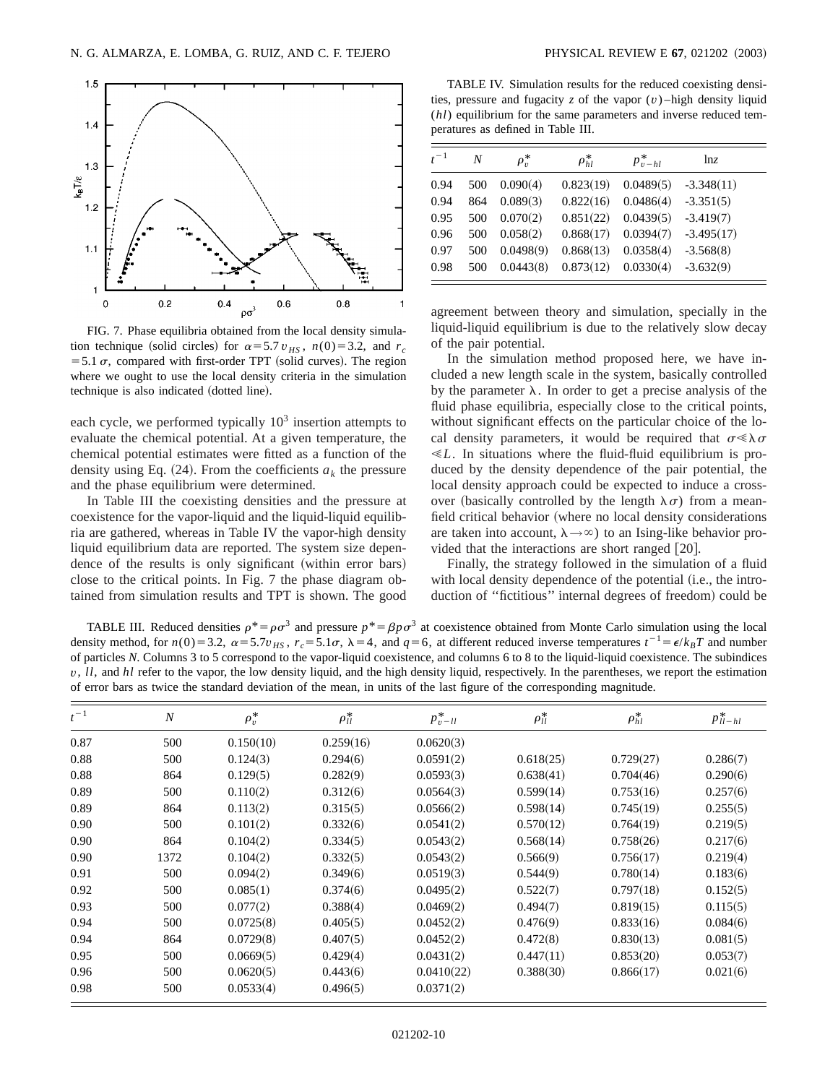

FIG. 7. Phase equilibria obtained from the local density simulation technique (solid circles) for  $\alpha = 5.7 v_{HS}$ ,  $n(0) = 3.2$ , and  $r_c$ = 5.1  $\sigma$ , compared with first-order TPT (solid curves). The region where we ought to use the local density criteria in the simulation technique is also indicated (dotted line).

each cycle, we performed typically  $10<sup>3</sup>$  insertion attempts to evaluate the chemical potential. At a given temperature, the chemical potential estimates were fitted as a function of the density using Eq.  $(24)$ . From the coefficients  $a_k$  the pressure and the phase equilibrium were determined.

In Table III the coexisting densities and the pressure at coexistence for the vapor-liquid and the liquid-liquid equilibria are gathered, whereas in Table IV the vapor-high density liquid equilibrium data are reported. The system size dependence of the results is only significant (within error bars) close to the critical points. In Fig. 7 the phase diagram obtained from simulation results and TPT is shown. The good

TABLE IV. Simulation results for the reduced coexisting densities, pressure and fugacity  $z$  of the vapor  $(v)$ -high density liquid (*hl*) equilibrium for the same parameters and inverse reduced temperatures as defined in Table III.

| $t^{-1}$ | N   | $\rho_v^*$ | $\rho_{hl}^*$ | $p_{v-hl}^*$ | ln <sub>z</sub> |
|----------|-----|------------|---------------|--------------|-----------------|
| 0.94     | 500 | 0.090(4)   | 0.823(19)     | 0.0489(5)    | $-3.348(11)$    |
| 0.94     | 864 | 0.089(3)   | 0.822(16)     | 0.0486(4)    | $-3.351(5)$     |
| 0.95     | 500 | 0.070(2)   | 0.851(22)     | 0.0439(5)    | $-3.419(7)$     |
| 0.96     | 500 | 0.058(2)   | 0.868(17)     | 0.0394(7)    | $-3.495(17)$    |
| 0.97     | 500 | 0.0498(9)  | 0.868(13)     | 0.0358(4)    | $-3.568(8)$     |
| 0.98     | 500 | 0.0443(8)  | 0.873(12)     | 0.0330(4)    | $-3.632(9)$     |

agreement between theory and simulation, specially in the liquid-liquid equilibrium is due to the relatively slow decay of the pair potential.

In the simulation method proposed here, we have included a new length scale in the system, basically controlled by the parameter  $\lambda$ . In order to get a precise analysis of the fluid phase equilibria, especially close to the critical points, without significant effects on the particular choice of the local density parameters, it would be required that  $\sigma \ll \lambda \sigma$  $\ll L$ . In situations where the fluid-fluid equilibrium is produced by the density dependence of the pair potential, the local density approach could be expected to induce a crossover (basically controlled by the length  $\lambda \sigma$ ) from a meanfield critical behavior (where no local density considerations are taken into account,  $\lambda \rightarrow \infty$ ) to an Ising-like behavior provided that the interactions are short ranged  $[20]$ .

Finally, the strategy followed in the simulation of a fluid with local density dependence of the potential (i.e., the introduction of "fictitious" internal degrees of freedom) could be

TABLE III. Reduced densities  $\rho^* = \rho \sigma^3$  and pressure  $\rho^* = \beta \rho \sigma^3$  at coexistence obtained from Monte Carlo simulation using the local density method, for  $n(0) = 3.2$ ,  $\alpha = 5.7v_{HS}$ ,  $r_c = 5.1\sigma$ ,  $\lambda = 4$ , and  $q = 6$ , at different reduced inverse temperatures  $t^{-1} = \epsilon / k_B T$  and number of particles *N*. Columns 3 to 5 correspond to the vapor-liquid coexistence, and columns 6 to 8 to the liquid-liquid coexistence. The subindices *v*, *ll*, and *hl* refer to the vapor, the low density liquid, and the high density liquid, respectively. In the parentheses, we report the estimation of error bars as twice the standard deviation of the mean, in units of the last figure of the corresponding magnitude.

| $t^{-1}$ | $\boldsymbol{N}$ | $\rho_v^*$ | $\rho_{ll}^*$ | $p_{v-II}^*$ | $\rho_{ll}^*$ | $\rho_{hl}^*$ | $p^*_{ll-hl}$ |
|----------|------------------|------------|---------------|--------------|---------------|---------------|---------------|
| 0.87     | 500              | 0.150(10)  | 0.259(16)     | 0.0620(3)    |               |               |               |
| 0.88     | 500              | 0.124(3)   | 0.294(6)      | 0.0591(2)    | 0.618(25)     | 0.729(27)     | 0.286(7)      |
| 0.88     | 864              | 0.129(5)   | 0.282(9)      | 0.0593(3)    | 0.638(41)     | 0.704(46)     | 0.290(6)      |
| 0.89     | 500              | 0.110(2)   | 0.312(6)      | 0.0564(3)    | 0.599(14)     | 0.753(16)     | 0.257(6)      |
| 0.89     | 864              | 0.113(2)   | 0.315(5)      | 0.0566(2)    | 0.598(14)     | 0.745(19)     | 0.255(5)      |
| 0.90     | 500              | 0.101(2)   | 0.332(6)      | 0.0541(2)    | 0.570(12)     | 0.764(19)     | 0.219(5)      |
| 0.90     | 864              | 0.104(2)   | 0.334(5)      | 0.0543(2)    | 0.568(14)     | 0.758(26)     | 0.217(6)      |
| 0.90     | 1372             | 0.104(2)   | 0.332(5)      | 0.0543(2)    | 0.566(9)      | 0.756(17)     | 0.219(4)      |
| 0.91     | 500              | 0.094(2)   | 0.349(6)      | 0.0519(3)    | 0.544(9)      | 0.780(14)     | 0.183(6)      |
| 0.92     | 500              | 0.085(1)   | 0.374(6)      | 0.0495(2)    | 0.522(7)      | 0.797(18)     | 0.152(5)      |
| 0.93     | 500              | 0.077(2)   | 0.388(4)      | 0.0469(2)    | 0.494(7)      | 0.819(15)     | 0.115(5)      |
| 0.94     | 500              | 0.0725(8)  | 0.405(5)      | 0.0452(2)    | 0.476(9)      | 0.833(16)     | 0.084(6)      |
| 0.94     | 864              | 0.0729(8)  | 0.407(5)      | 0.0452(2)    | 0.472(8)      | 0.830(13)     | 0.081(5)      |
| 0.95     | 500              | 0.0669(5)  | 0.429(4)      | 0.0431(2)    | 0.447(11)     | 0.853(20)     | 0.053(7)      |
| 0.96     | 500              | 0.0620(5)  | 0.443(6)      | 0.0410(22)   | 0.388(30)     | 0.866(17)     | 0.021(6)      |
| 0.98     | 500              | 0.0533(4)  | 0.496(5)      | 0.0371(2)    |               |               |               |